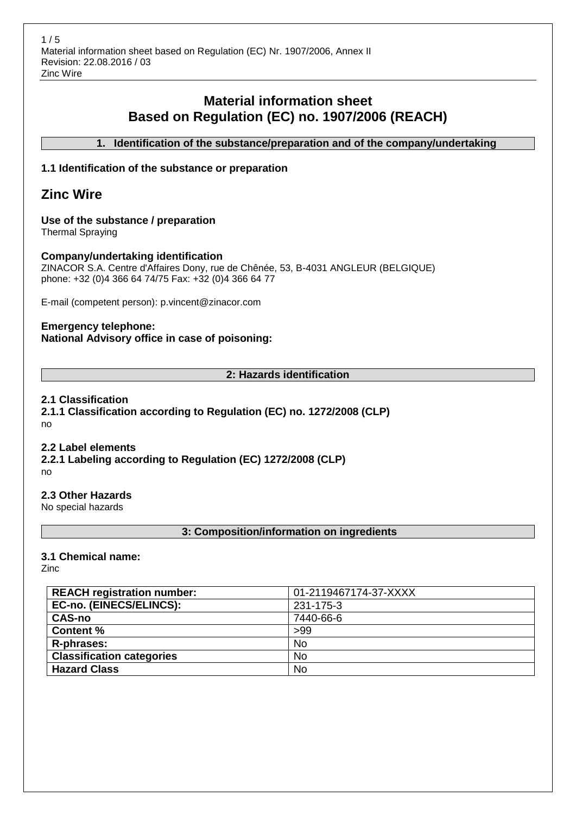# **Material information sheet Based on Regulation (EC) no. 1907/2006 (REACH)**

**1. Identification of the substance/preparation and of the company/undertaking**

# **1.1 Identification of the substance or preparation**

# **Zinc Wire**

# **Use of the substance / preparation**

Thermal Spraying

# **Company/undertaking identification**

ZINACOR S.A. Centre d'Affaires Dony, rue de Chênée, 53, B-4031 ANGLEUR (BELGIQUE) phone: +32 (0)4 366 64 74/75 Fax: +32 (0)4 366 64 77

E-mail (competent person): p.vincent@zinacor.com

# **Emergency telephone: National Advisory office in case of poisoning:**

# **2: Hazards identification**

# **2.1 Classification**

**2.1.1 Classification according to Regulation (EC) no. 1272/2008 (CLP)** no

## **2.2 Label elements**

**2.2.1 Labeling according to Regulation (EC) 1272/2008 (CLP)** no

**2.3 Other Hazards**

No special hazards

# **3: Composition/information on ingredients**

# **3.1 Chemical name:**

Zinc

| <b>REACH registration number:</b> | 01-2119467174-37-XXXX |
|-----------------------------------|-----------------------|
| EC-no. (EINECS/ELINCS):           | 231-175-3             |
| <b>CAS-no</b>                     | 7440-66-6             |
| <b>Content %</b>                  | >99                   |
| R-phrases:                        | No                    |
| <b>Classification categories</b>  | <b>No</b>             |
| <b>Hazard Class</b>               | <b>No</b>             |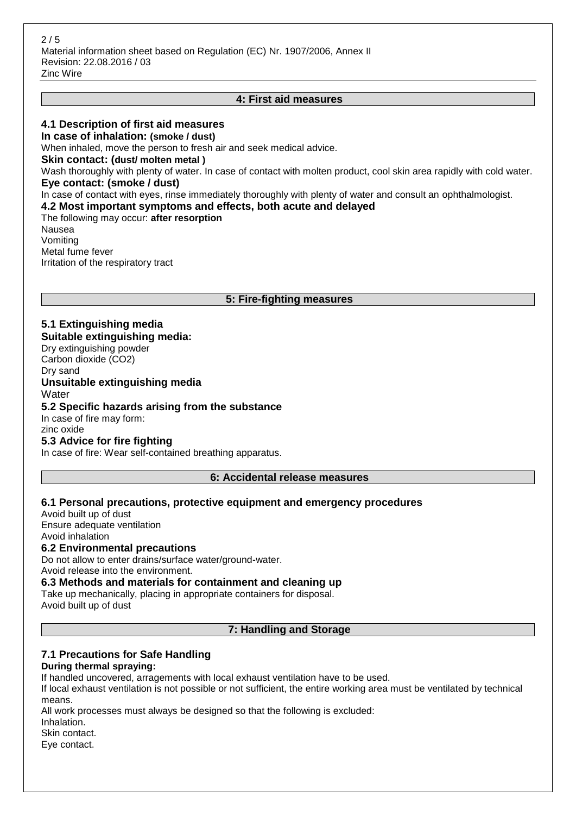# **4: First aid measures**

## **4.1 Description of first aid measures**

**In case of inhalation: (smoke / dust)** When inhaled, move the person to fresh air and seek medical advice. **Skin contact: (dust/ molten metal )** Wash thoroughly with plenty of water. In case of contact with molten product, cool skin area rapidly with cold water. **Eye contact: (smoke / dust)** In case of contact with eyes, rinse immediately thoroughly with plenty of water and consult an ophthalmologist. **4.2 Most important symptoms and effects, both acute and delayed** The following may occur: **after resorption** Nausea Vomiting Metal fume fever

## **5: Fire-fighting measures**

# **5.1 Extinguishing media**

Irritation of the respiratory tract

**Suitable extinguishing media:**

Dry extinguishing powder Carbon dioxide (CO2) Dry sand **Unsuitable extinguishing media Water 5.2 Specific hazards arising from the substance** In case of fire may form:

zinc oxide

## **5.3 Advice for fire fighting**

In case of fire: Wear self-contained breathing apparatus.

#### **6: Accidental release measures**

## **6.1 Personal precautions, protective equipment and emergency procedures**

Avoid built up of dust Ensure adequate ventilation Avoid inhalation **6.2 Environmental precautions**

Do not allow to enter drains/surface water/ground-water. Avoid release into the environment.

## **6.3 Methods and materials for containment and cleaning up**

Take up mechanically, placing in appropriate containers for disposal.

Avoid built up of dust

#### **7: Handling and Storage**

## **7.1 Precautions for Safe Handling**

## **During thermal spraying:**

If handled uncovered, arragements with local exhaust ventilation have to be used.

If local exhaust ventilation is not possible or not sufficient, the entire working area must be ventilated by technical means.

All work processes must always be designed so that the following is excluded:

Inhalation.

Skin contact.

Eye contact.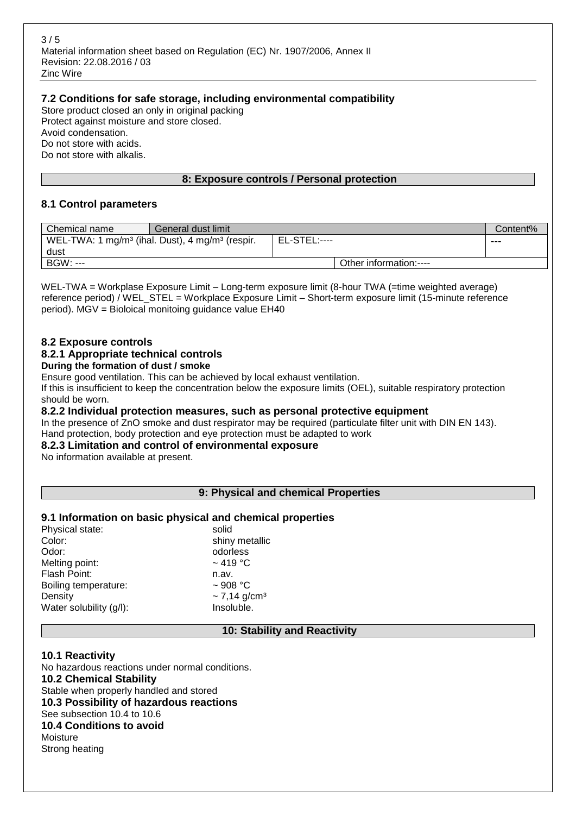$3/5$ Material information sheet based on Regulation (EC) Nr. 1907/2006, Annex II Revision: 22.08.2016 / 03 Zinc Wire

# **7.2 Conditions for safe storage, including environmental compatibility**

Store product closed an only in original packing Protect against moisture and store closed. Avoid condensation. Do not store with acids. Do not store with alkalis.

# **8: Exposure controls / Personal protection**

# **8.1 Control parameters**

| Chemical name   | General dust limit                                                                             |  |                        | Content% |
|-----------------|------------------------------------------------------------------------------------------------|--|------------------------|----------|
|                 | <b>EL-STEL:----</b><br>WEL-TWA: 1 mg/m <sup>3</sup> (ihal. Dust), 4 mg/m <sup>3</sup> (respir. |  |                        | ---      |
| dust            |                                                                                                |  |                        |          |
| <b>BGW: ---</b> |                                                                                                |  | Other information:---- |          |

WEL-TWA = Workplase Exposure Limit – Long-term exposure limit (8-hour TWA (=time weighted average) reference period) / WEL\_STEL = Workplace Exposure Limit – Short-term exposure limit (15-minute reference period). MGV = Bioloical monitoing guidance value EH40

# **8.2 Exposure controls**

# **8.2.1 Appropriate technical controls**

**During the formation of dust / smoke**

Ensure good ventilation. This can be achieved by local exhaust ventilation.

If this is insufficient to keep the concentration below the exposure limits (OEL), suitable respiratory protection should be worn.

## **8.2.2 Individual protection measures, such as personal protective equipment**

In the presence of ZnO smoke and dust respirator may be required (particulate filter unit with DIN EN 143). Hand protection, body protection and eye protection must be adapted to work

## **8.2.3 Limitation and control of environmental exposure**

No information available at present.

## **9: Physical and chemical Properties**

## **9.1 Information on basic physical and chemical properties**

| Physical state:         | solid                         |
|-------------------------|-------------------------------|
| Color:                  | shiny metallic                |
| Odor:                   | odorless                      |
| Melting point:          | $\sim$ 419 °C                 |
| Flash Point:            | n.av.                         |
| Boiling temperature:    | $~1$ 908 °C                   |
| Density                 | $\sim$ 7,14 g/cm <sup>3</sup> |
| Water solubility (g/l): | Insoluble.                    |
|                         |                               |

## **10: Stability and Reactivity**

## **10.1 Reactivity**

No hazardous reactions under normal conditions. **10.2 Chemical Stability** Stable when properly handled and stored **10.3 Possibility of hazardous reactions** See subsection 10.4 to 10.6 **10.4 Conditions to avoid** Moisture Strong heating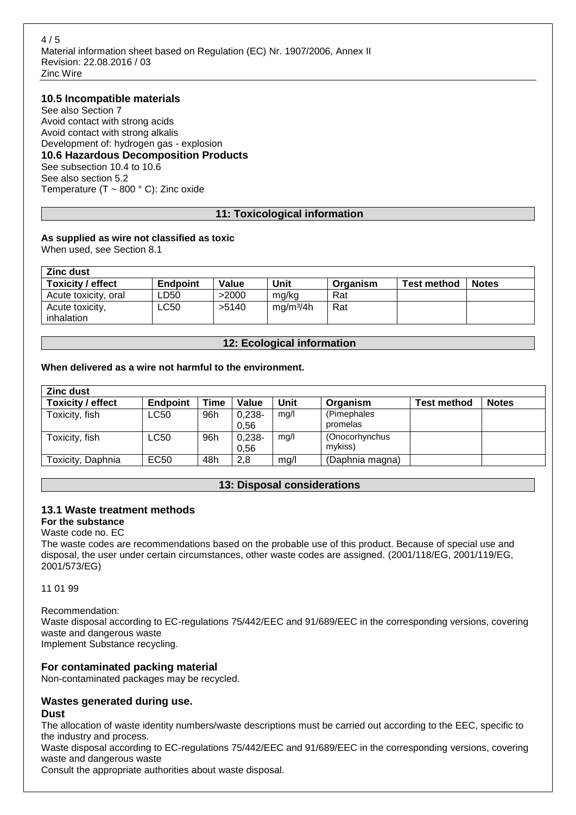$4/5$ Material information sheet based on Regulation (EC) Nr. 1907/2006, Annex II Revision: 22.08.2016 / 03 Zinc Wire

## **10.5 Incompatible materials**

See also Section 7 Avoid contact with strong acids Avoid contact with strong alkalis Development of: hydrogen gas - explosion **10.6 Hazardous Decomposition Products** See subsection 10.4 to 10.6 See also section 5.2 Temperature (T  $\sim$  800 ° C): Zinc oxide

## **11: Toxicological information**

# **As supplied as wire not classified as toxic**

When used, see Section 8.1

| <b>Zinc dust</b>     |          |       |                       |          |                    |              |
|----------------------|----------|-------|-----------------------|----------|--------------------|--------------|
| Toxicity / effect    | Endpoint | Value | Unit                  | Organism | <b>Test method</b> | <b>Notes</b> |
| Acute toxicity, oral | LD50.    | >2000 | mg/kg                 | Rat      |                    |              |
| Acute toxicity,      | ∟C50     | >5140 | mq/m <sup>3</sup> /4h | Rat      |                    |              |
| inhalation           |          |       |                       |          |                    |              |

## **12: Ecological information**

## **When delivered as a wire not harmful to the environment.**

| <b>Zinc dust</b>         |                 |      |                   |      |                           |                    |              |
|--------------------------|-----------------|------|-------------------|------|---------------------------|--------------------|--------------|
| <b>Toxicity / effect</b> | <b>Endpoint</b> | Time | Value             | Unit | Organism                  | <b>Test method</b> | <b>Notes</b> |
| Toxicity, fish           | LC50            | 96h  | $0,238-$<br>0.56  | mg/l | (Pimephales<br>promelas   |                    |              |
| Toxicity, fish           | LC50            | 96h  | $0.238 -$<br>0.56 | mg/l | (Onocorhynchus<br>mykiss) |                    |              |
| Toxicity, Daphnia        | EC50            | 48h  | 2,8               | mg/l | (Daphnia magna)           |                    |              |

## **13: Disposal considerations**

## **13.1 Waste treatment methods**

**For the substance**

Waste code no. EC

The waste codes are recommendations based on the probable use of this product. Because of special use and disposal, the user under certain circumstances, other waste codes are assigned. (2001/118/EG, 2001/119/EG, 2001/573/EG)

11 01 99

Recommendation: Waste disposal according to EC-regulations 75/442/EEC and 91/689/EEC in the corresponding versions, covering waste and dangerous waste Implement Substance recycling.

## **For contaminated packing material**

Non-contaminated packages may be recycled.

# **Wastes generated during use.**

**Dust**

The allocation of waste identity numbers/waste descriptions must be carried out according to the EEC, specific to the industry and process.

Waste disposal according to EC-regulations 75/442/EEC and 91/689/EEC in the corresponding versions, covering waste and dangerous waste

Consult the appropriate authorities about waste disposal.